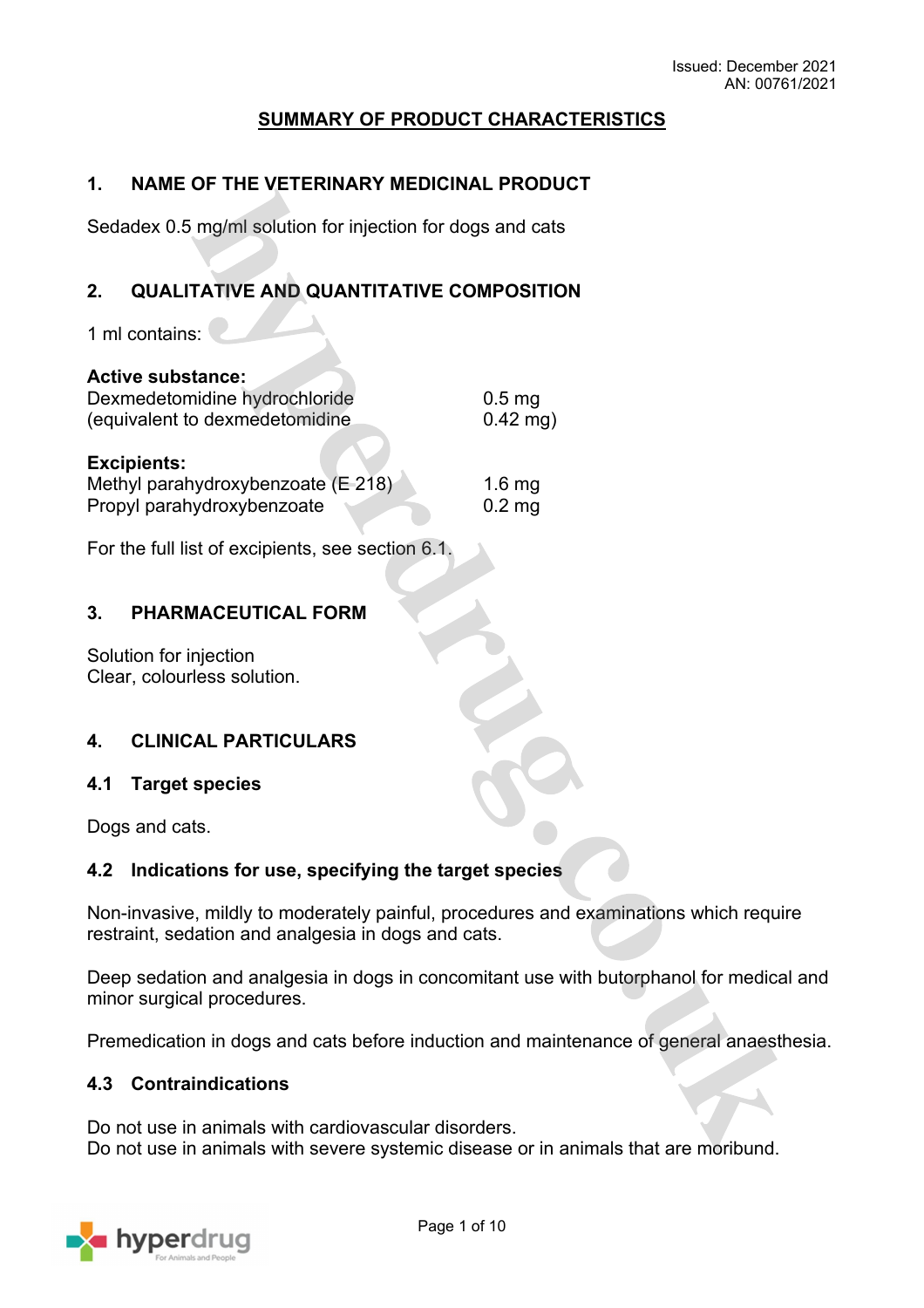# **SUMMARY OF PRODUCT CHARACTERISTICS**

## **1. NAME OF THE VETERINARY MEDICINAL PRODUCT**

Sedadex 0.5 mg/ml solution for injection for dogs and cats

# **2. QUALITATIVE AND QUANTITATIVE COMPOSITION**

1 ml contains:

| <b>Active substance:</b>                                                               |                      |
|----------------------------------------------------------------------------------------|----------------------|
| Dexmedetomidine hydrochloride                                                          | 0.5 <sub>mg</sub>    |
| (equivalent to dexmedetomidine                                                         | $0.42$ mg)           |
| <b>Excipients:</b><br>Methyl parahydroxybenzoate (E 218)<br>Propyl parahydroxybenzoate | 1.6 $mg$<br>$0.2$ mg |

For the full list of excipients, see section 6.1.

## **3. PHARMACEUTICAL FORM**

Solution for injection Clear, colourless solution.

## **4. CLINICAL PARTICULARS**

## **4.1 Target species**

Dogs and cats.

## **4.2 Indications for use, specifying the target species**

Non-invasive, mildly to moderately painful, procedures and examinations which require restraint, sedation and analgesia in dogs and cats.

Deep sedation and analgesia in dogs in concomitant use with butorphanol for medical and minor surgical procedures.

Premedication in dogs and cats before induction and maintenance of general anaesthesia.

## **4.3 Contraindications**

Do not use in animals with cardiovascular disorders. Do not use in animals with severe systemic disease or in animals that are moribund.

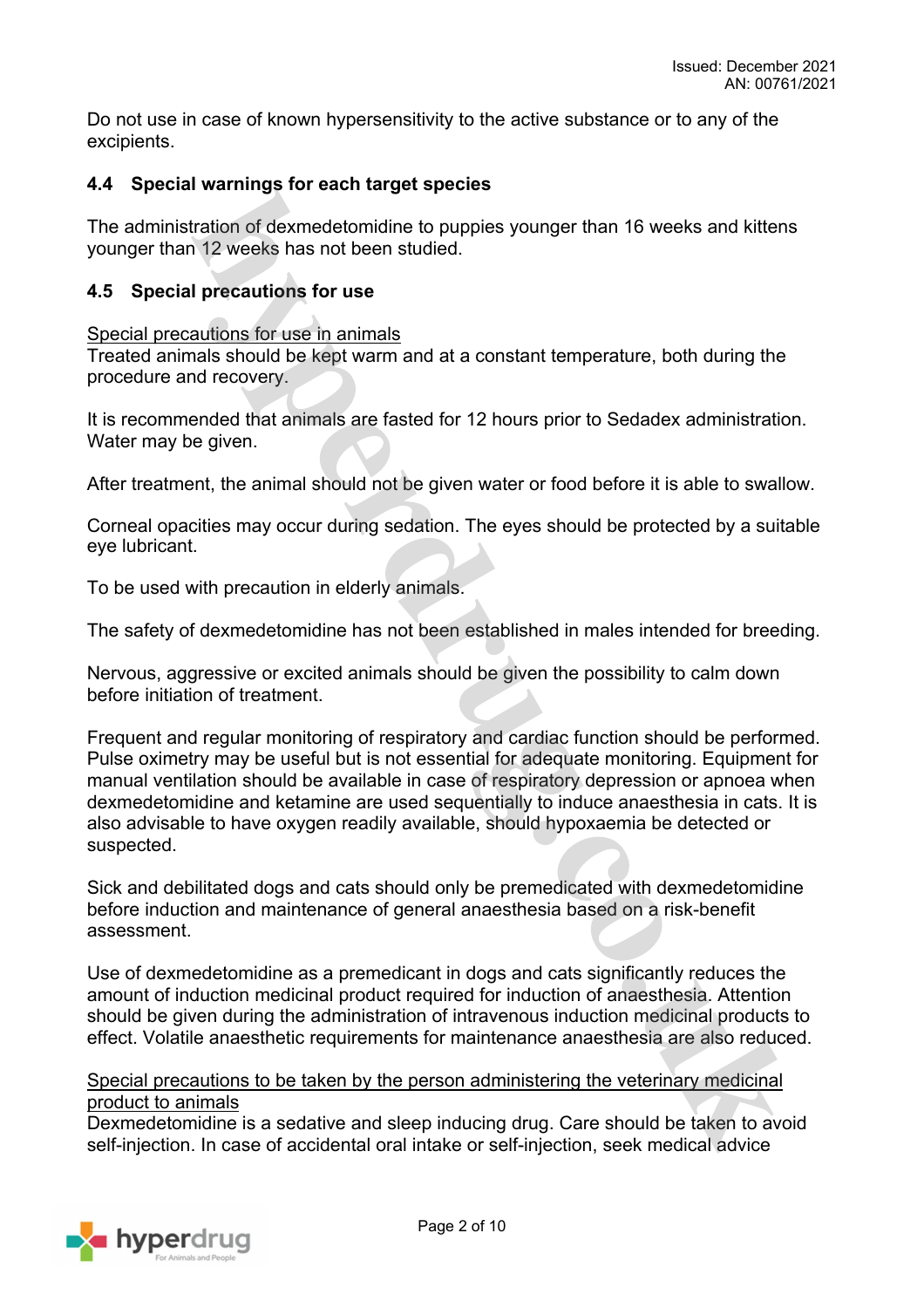Do not use in case of known hypersensitivity to the active substance or to any of the excipients.

## **4.4 Special warnings for each target species**

The administration of dexmedetomidine to puppies younger than 16 weeks and kittens younger than 12 weeks has not been studied.

## **4.5 Special precautions for use**

Special precautions for use in animals

Treated animals should be kept warm and at a constant temperature, both during the procedure and recovery.

It is recommended that animals are fasted for 12 hours prior to Sedadex administration. Water may be given.

After treatment, the animal should not be given water or food before it is able to swallow.

Corneal opacities may occur during sedation. The eyes should be protected by a suitable eye lubricant.

To be used with precaution in elderly animals.

The safety of dexmedetomidine has not been established in males intended for breeding.

Nervous, aggressive or excited animals should be given the possibility to calm down before initiation of treatment.

Frequent and regular monitoring of respiratory and cardiac function should be performed. Pulse oximetry may be useful but is not essential for adequate monitoring. Equipment for manual ventilation should be available in case of respiratory depression or apnoea when dexmedetomidine and ketamine are used sequentially to induce anaesthesia in cats. It is also advisable to have oxygen readily available, should hypoxaemia be detected or suspected.

Sick and debilitated dogs and cats should only be premedicated with dexmedetomidine before induction and maintenance of general anaesthesia based on a risk-benefit assessment.

Use of dexmedetomidine as a premedicant in dogs and cats significantly reduces the amount of induction medicinal product required for induction of anaesthesia. Attention should be given during the administration of intravenous induction medicinal products to effect. Volatile anaesthetic requirements for maintenance anaesthesia are also reduced.

## Special precautions to be taken by the person administering the veterinary medicinal product to animals

Dexmedetomidine is a sedative and sleep inducing drug. Care should be taken to avoid self-injection. In case of accidental oral intake or self-injection, seek medical advice

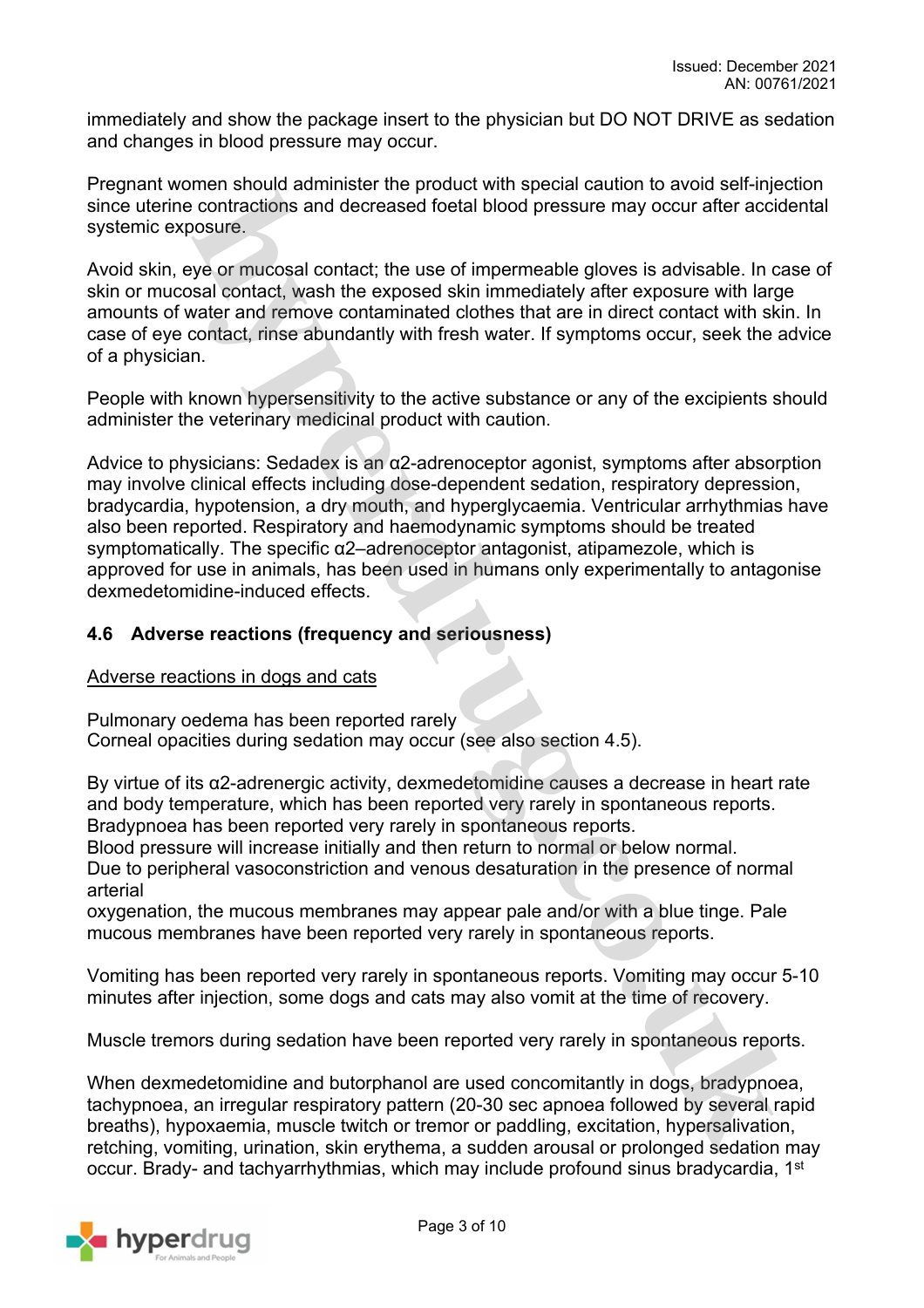immediately and show the package insert to the physician but DO NOT DRIVE as sedation and changes in blood pressure may occur.

Pregnant women should administer the product with special caution to avoid self-injection since uterine contractions and decreased foetal blood pressure may occur after accidental systemic exposure.

Avoid skin, eye or mucosal contact; the use of impermeable gloves is advisable. In case of skin or mucosal contact, wash the exposed skin immediately after exposure with large amounts of water and remove contaminated clothes that are in direct contact with skin. In case of eye contact, rinse abundantly with fresh water. If symptoms occur, seek the advice of a physician.

People with known hypersensitivity to the active substance or any of the excipients should administer the veterinary medicinal product with caution.

Advice to physicians: Sedadex is an α2-adrenoceptor agonist, symptoms after absorption may involve clinical effects including dose-dependent sedation, respiratory depression, bradycardia, hypotension, a dry mouth, and hyperglycaemia. Ventricular arrhythmias have also been reported. Respiratory and haemodynamic symptoms should be treated symptomatically. The specific α2–adrenoceptor antagonist, atipamezole, which is approved for use in animals, has been used in humans only experimentally to antagonise dexmedetomidine-induced effects.

## **4.6 Adverse reactions (frequency and seriousness)**

#### Adverse reactions in dogs and cats

Pulmonary oedema has been reported rarely Corneal opacities during sedation may occur (see also section 4.5).

By virtue of its α2-adrenergic activity, dexmedetomidine causes a decrease in heart rate and body temperature, which has been reported very rarely in spontaneous reports. Bradypnoea has been reported very rarely in spontaneous reports.

Blood pressure will increase initially and then return to normal or below normal. Due to peripheral vasoconstriction and venous desaturation in the presence of normal arterial

oxygenation, the mucous membranes may appear pale and/or with a blue tinge. Pale mucous membranes have been reported very rarely in spontaneous reports.

Vomiting has been reported very rarely in spontaneous reports. Vomiting may occur 5-10 minutes after injection, some dogs and cats may also vomit at the time of recovery.

Muscle tremors during sedation have been reported very rarely in spontaneous reports.

When dexmedetomidine and butorphanol are used concomitantly in dogs, bradypnoea, tachypnoea, an irregular respiratory pattern (20-30 sec apnoea followed by several rapid breaths), hypoxaemia, muscle twitch or tremor or paddling, excitation, hypersalivation, retching, vomiting, urination, skin erythema, a sudden arousal or prolonged sedation may occur. Brady- and tachyarrhythmias, which may include profound sinus bradycardia, 1<sup>st</sup>

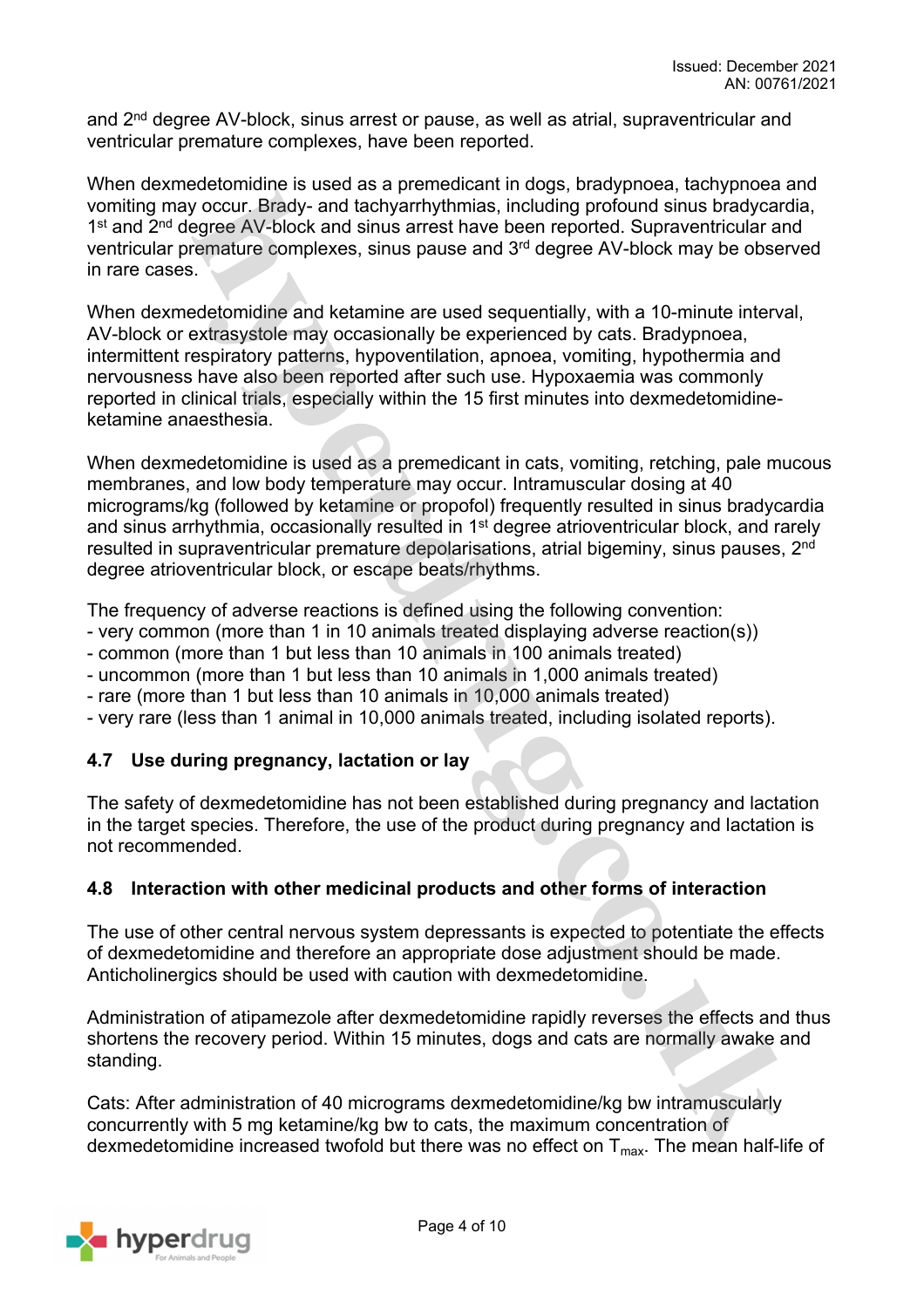and 2<sup>nd</sup> degree AV-block, sinus arrest or pause, as well as atrial, supraventricular and ventricular premature complexes, have been reported.

When dexmedetomidine is used as a premedicant in dogs, bradypnoea, tachypnoea and vomiting may occur. Brady- and tachyarrhythmias, including profound sinus bradycardia, 1<sup>st</sup> and 2<sup>nd</sup> degree AV-block and sinus arrest have been reported. Supraventricular and ventricular premature complexes, sinus pause and 3rd degree AV-block may be observed in rare cases.

When dexmedetomidine and ketamine are used sequentially, with a 10-minute interval, AV-block or extrasystole may occasionally be experienced by cats. Bradypnoea, intermittent respiratory patterns, hypoventilation, apnoea, vomiting, hypothermia and nervousness have also been reported after such use. Hypoxaemia was commonly reported in clinical trials, especially within the 15 first minutes into dexmedetomidineketamine anaesthesia.

When dexmedetomidine is used as a premedicant in cats, vomiting, retching, pale mucous membranes, and low body temperature may occur. Intramuscular dosing at 40 micrograms/kg (followed by ketamine or propofol) frequently resulted in sinus bradycardia and sinus arrhythmia, occasionally resulted in 1<sup>st</sup> degree atrioventricular block, and rarely resulted in supraventricular premature depolarisations, atrial bigeminy, sinus pauses, 2<sup>nd</sup> degree atrioventricular block, or escape beats/rhythms.

The frequency of adverse reactions is defined using the following convention:

- very common (more than 1 in 10 animals treated displaying adverse reaction(s))
- common (more than 1 but less than 10 animals in 100 animals treated)
- uncommon (more than 1 but less than 10 animals in 1,000 animals treated)
- rare (more than 1 but less than 10 animals in 10,000 animals treated)
- very rare (less than 1 animal in 10,000 animals treated, including isolated reports).

# **4.7 Use during pregnancy, lactation or lay**

The safety of dexmedetomidine has not been established during pregnancy and lactation in the target species. Therefore, the use of the product during pregnancy and lactation is not recommended.

# **4.8 Interaction with other medicinal products and other forms of interaction**

The use of other central nervous system depressants is expected to potentiate the effects of dexmedetomidine and therefore an appropriate dose adjustment should be made. Anticholinergics should be used with caution with dexmedetomidine.

Administration of atipamezole after dexmedetomidine rapidly reverses the effects and thus shortens the recovery period. Within 15 minutes, dogs and cats are normally awake and standing.

Cats: After administration of 40 micrograms dexmedetomidine/kg bw intramuscularly concurrently with 5 mg ketamine/kg bw to cats, the maximum concentration of dexmedetomidine increased twofold but there was no effect on  $T_{\text{max}}$ . The mean half-life of

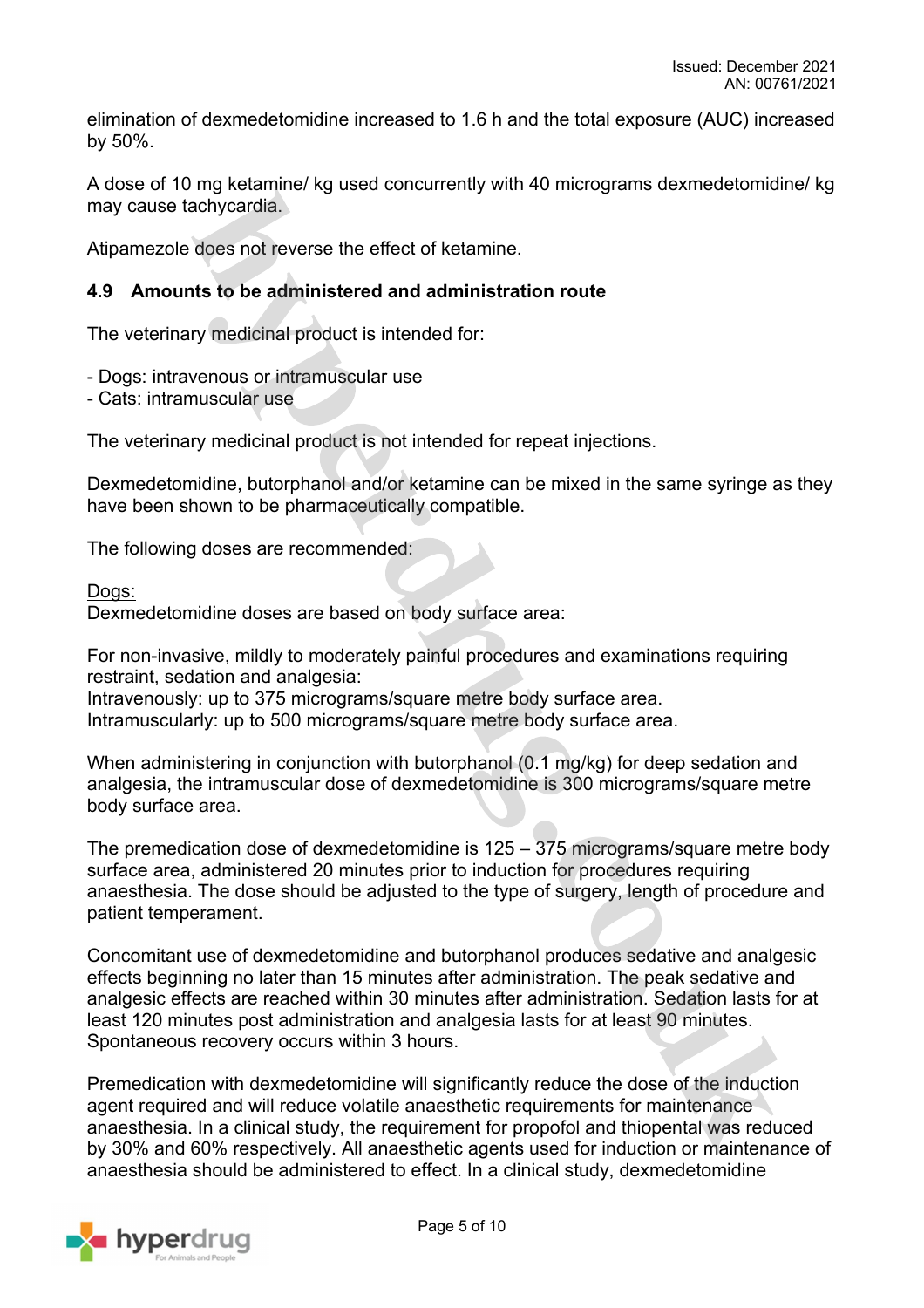elimination of dexmedetomidine increased to 1.6 h and the total exposure (AUC) increased by 50%.

A dose of 10 mg ketamine/ kg used concurrently with 40 micrograms dexmedetomidine/ kg may cause tachycardia.

Atipamezole does not reverse the effect of ketamine.

## **4.9 Amounts to be administered and administration route**

The veterinary medicinal product is intended for:

- Dogs: intravenous or intramuscular use

- Cats: intramuscular use

The veterinary medicinal product is not intended for repeat injections.

Dexmedetomidine, butorphanol and/or ketamine can be mixed in the same syringe as they have been shown to be pharmaceutically compatible.

The following doses are recommended:

#### Dogs:

Dexmedetomidine doses are based on body surface area:

For non-invasive, mildly to moderately painful procedures and examinations requiring restraint, sedation and analgesia:

Intravenously: up to 375 micrograms/square metre body surface area. Intramuscularly: up to 500 micrograms/square metre body surface area.

When administering in conjunction with butorphanol (0.1 mg/kg) for deep sedation and analgesia, the intramuscular dose of dexmedetomidine is 300 micrograms/square metre body surface area.

The premedication dose of dexmedetomidine is 125 – 375 micrograms/square metre body surface area, administered 20 minutes prior to induction for procedures requiring anaesthesia. The dose should be adjusted to the type of surgery, length of procedure and patient temperament.

Concomitant use of dexmedetomidine and butorphanol produces sedative and analgesic effects beginning no later than 15 minutes after administration. The peak sedative and analgesic effects are reached within 30 minutes after administration. Sedation lasts for at least 120 minutes post administration and analgesia lasts for at least 90 minutes. Spontaneous recovery occurs within 3 hours.

Premedication with dexmedetomidine will significantly reduce the dose of the induction agent required and will reduce volatile anaesthetic requirements for maintenance anaesthesia. In a clinical study, the requirement for propofol and thiopental was reduced by 30% and 60% respectively. All anaesthetic agents used for induction or maintenance of anaesthesia should be administered to effect. In a clinical study, dexmedetomidine

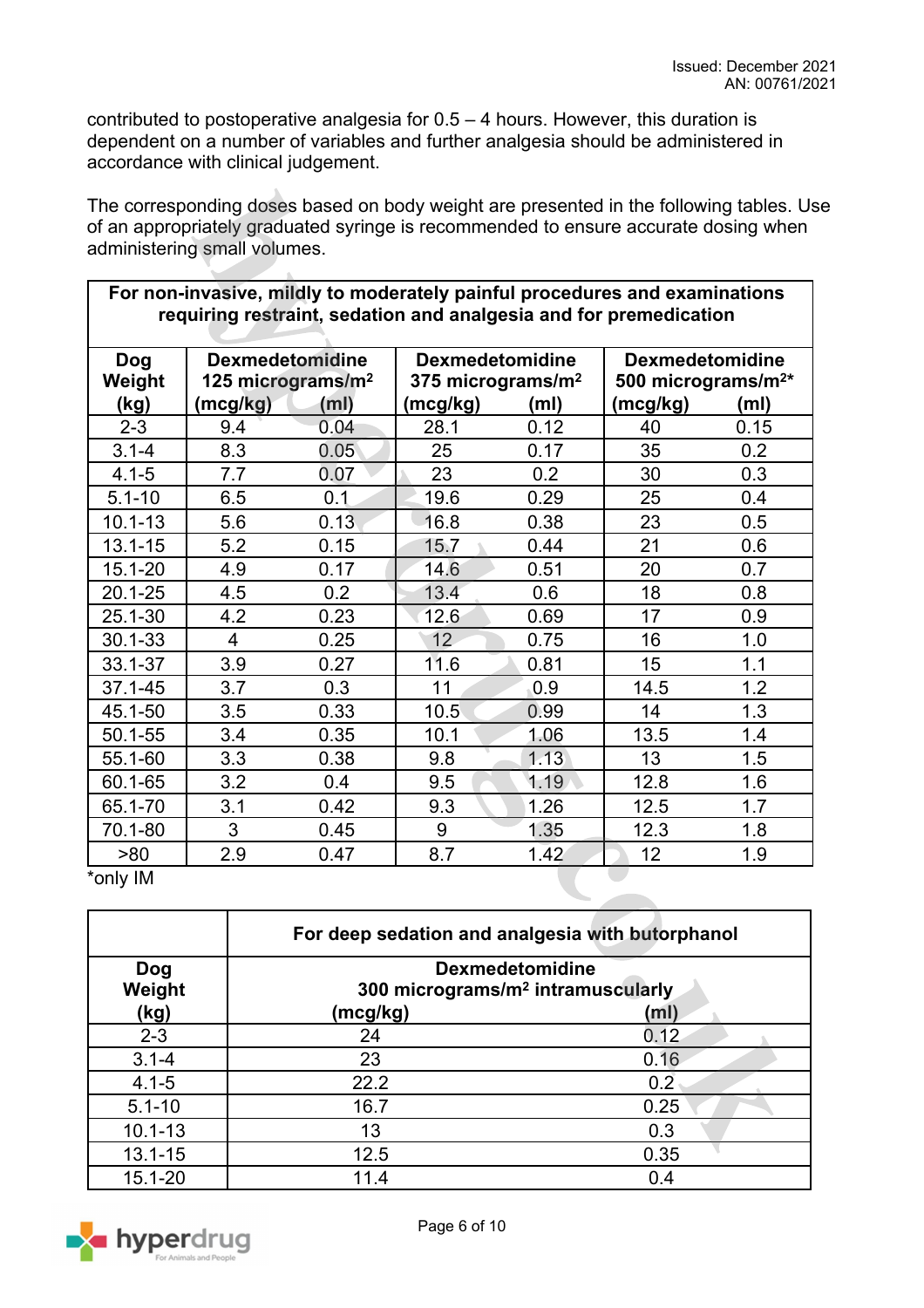٦

contributed to postoperative analgesia for 0.5 – 4 hours. However, this duration is dependent on a number of variables and further analgesia should be administered in accordance with clinical judgement.

The corresponding doses based on body weight are presented in the following tables. Use of an appropriately graduated syringe is recommended to ensure accurate dosing when administering small volumes.

| requiring restraint, sedation and analgesia and for premedication |                                                         |                   |                                                         |                   |                                                          |                   |
|-------------------------------------------------------------------|---------------------------------------------------------|-------------------|---------------------------------------------------------|-------------------|----------------------------------------------------------|-------------------|
| <b>Dog</b><br>Weight                                              | <b>Dexmedetomidine</b><br>125 micrograms/m <sup>2</sup> |                   | <b>Dexmedetomidine</b><br>375 micrograms/m <sup>2</sup> |                   | <b>Dexmedetomidine</b><br>500 micrograms/m <sup>2*</sup> |                   |
| (kg)                                                              | (mcg/kg)                                                | (m <sub>l</sub> ) | (mcg/kg)                                                | (m <sub>l</sub> ) | (mcg/kg)                                                 | (m <sub>l</sub> ) |
| $2 - 3$                                                           | 9.4                                                     | 0.04              | 28.1                                                    | 0.12              | 40                                                       | 0.15              |
| $3.1 - 4$                                                         | 8.3                                                     | 0.05              | 25                                                      | 0.17              | 35                                                       | 0.2               |
| $4.1 - 5$                                                         | 7.7                                                     | 0.07              | 23                                                      | 0.2               | 30                                                       | 0.3               |
| $5.1 - 10$                                                        | 6.5                                                     | 0.1               | 19.6                                                    | 0.29              | 25                                                       | 0.4               |
| $10.1 - 13$                                                       | 5.6                                                     | 0.13              | 16.8                                                    | 0.38              | 23                                                       | 0.5               |
| $13.1 - 15$                                                       | 5.2                                                     | 0.15              | 15.7                                                    | 0.44              | 21                                                       | 0.6               |
| $15.1 - 20$                                                       | 4.9                                                     | 0.17              | 14.6                                                    | 0.51              | 20                                                       | 0.7               |
| $20.1 - 25$                                                       | 4.5                                                     | 0.2               | 13.4                                                    | 0.6               | 18                                                       | 0.8               |
| 25.1-30                                                           | 4.2                                                     | 0.23              | 12.6                                                    | 0.69              | 17                                                       | 0.9               |
| $30.1 - 33$                                                       | $\overline{4}$                                          | 0.25              | 12                                                      | 0.75              | 16                                                       | 1.0               |
| 33.1-37                                                           | 3.9                                                     | 0.27              | 11.6                                                    | 0.81              | 15                                                       | 1.1               |
| 37.1-45                                                           | 3.7                                                     | 0.3               | 11                                                      | 0.9               | 14.5                                                     | 1.2               |
| 45.1-50                                                           | 3.5                                                     | 0.33              | 10.5                                                    | 0.99              | 14                                                       | 1.3               |
| $50.1 - 55$                                                       | 3.4                                                     | 0.35              | 10.1                                                    | 1.06              | 13.5                                                     | 1.4               |
| 55.1-60                                                           | 3.3                                                     | 0.38              | 9.8                                                     | 1.13              | 13                                                       | 1.5               |
| 60.1-65                                                           | 3.2                                                     | 0.4               | 9.5                                                     | 1.19              | 12.8                                                     | 1.6               |
| 65.1-70                                                           | 3.1                                                     | 0.42              | 9.3                                                     | 1.26              | 12.5                                                     | 1.7               |
| 70.1-80                                                           | 3                                                       | 0.45              | 9                                                       | 1.35              | 12.3                                                     | 1.8               |
| >80                                                               | 2.9                                                     | 0.47              | 8.7                                                     | 1.42              | 12 <sub>2</sub>                                          | 1.9               |

**For non-invasive, mildly to moderately painful procedures and examinations** 

\*only IM

Г

|                      | For deep sedation and analgesia with butorphanol                        |      |
|----------------------|-------------------------------------------------------------------------|------|
| <b>Dog</b><br>Weight | <b>Dexmedetomidine</b><br>300 micrograms/m <sup>2</sup> intramuscularly |      |
| (kg)                 | (mcg/kg)                                                                | (ml) |
| $2 - 3$              | 24                                                                      | 0.12 |
| $3.1 - 4$            | 23                                                                      | 0.16 |
| $4.1 - 5$            | 22.2                                                                    | 0.2  |
| $5.1 - 10$           | 16.7                                                                    | 0.25 |
| $10.1 - 13$          | 13                                                                      | 0.3  |
| $13.1 - 15$          | 12.5                                                                    | 0.35 |
| 15.1-20              | 11.4                                                                    | 0.4  |

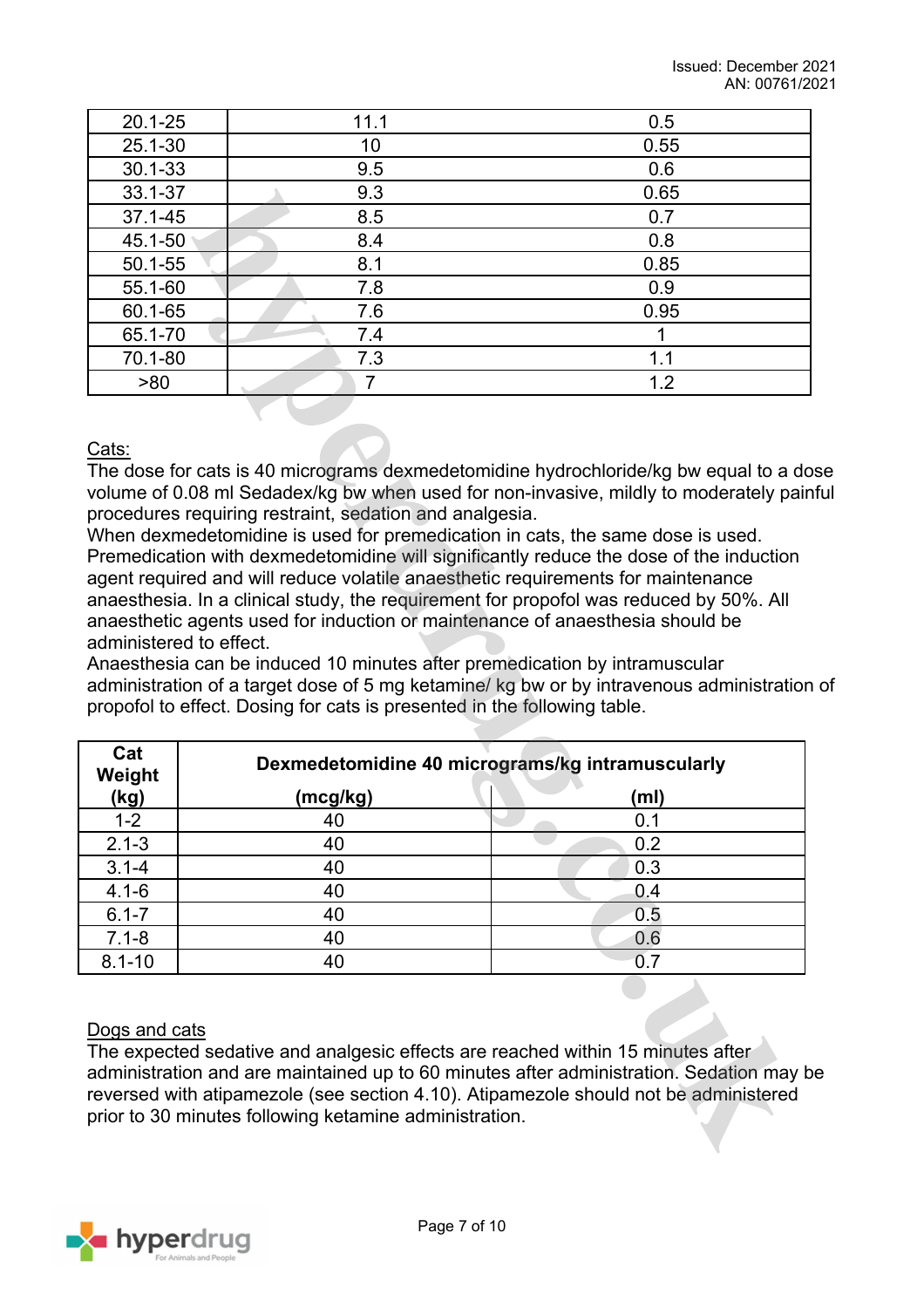| $20.1 - 25$ | 11.1 | 0.5  |
|-------------|------|------|
| $25.1 - 30$ | 10   | 0.55 |
| $30.1 - 33$ | 9.5  | 0.6  |
| 33.1-37     | 9.3  | 0.65 |
| 37.1-45     | 8.5  | 0.7  |
| 45.1-50     | 8.4  | 0.8  |
| $50.1 - 55$ | 8.1  | 0.85 |
| 55.1-60     | 7.8  | 0.9  |
| 60.1-65     | 7.6  | 0.95 |
| 65.1-70     | 7.4  |      |
| 70.1-80     | 7.3  | 1.1  |
| >80         |      | 1.2  |

Cats:

The dose for cats is 40 micrograms dexmedetomidine hydrochloride/kg bw equal to a dose volume of 0.08 ml Sedadex/kg bw when used for non-invasive, mildly to moderately painful procedures requiring restraint, sedation and analgesia.

When dexmedetomidine is used for premedication in cats, the same dose is used. Premedication with dexmedetomidine will significantly reduce the dose of the induction agent required and will reduce volatile anaesthetic requirements for maintenance anaesthesia. In a clinical study, the requirement for propofol was reduced by 50%. All anaesthetic agents used for induction or maintenance of anaesthesia should be administered to effect.

Anaesthesia can be induced 10 minutes after premedication by intramuscular administration of a target dose of 5 mg ketamine/ kg bw or by intravenous administration of propofol to effect. Dosing for cats is presented in the following table.

| Cat<br>Weight |          | Dexmedetomidine 40 micrograms/kg intramuscularly |  |  |
|---------------|----------|--------------------------------------------------|--|--|
| (kg)          | (mcg/kg) | (m <sub>l</sub> )                                |  |  |
| $1 - 2$       | 40       | 0.1                                              |  |  |
| $2.1 - 3$     | 40       | 0.2                                              |  |  |
| $3.1 - 4$     | 40       | 0.3                                              |  |  |
| $4.1 - 6$     | 40       | 0.4                                              |  |  |
| $6.1 - 7$     | 40       | 0.5                                              |  |  |
| $7.1 - 8$     | 40       | 0.6                                              |  |  |
| $8.1 - 10$    | 40       |                                                  |  |  |

## Dogs and cats

The expected sedative and analgesic effects are reached within 15 minutes after administration and are maintained up to 60 minutes after administration. Sedation may be reversed with atipamezole (see section 4.10). Atipamezole should not be administered prior to 30 minutes following ketamine administration.

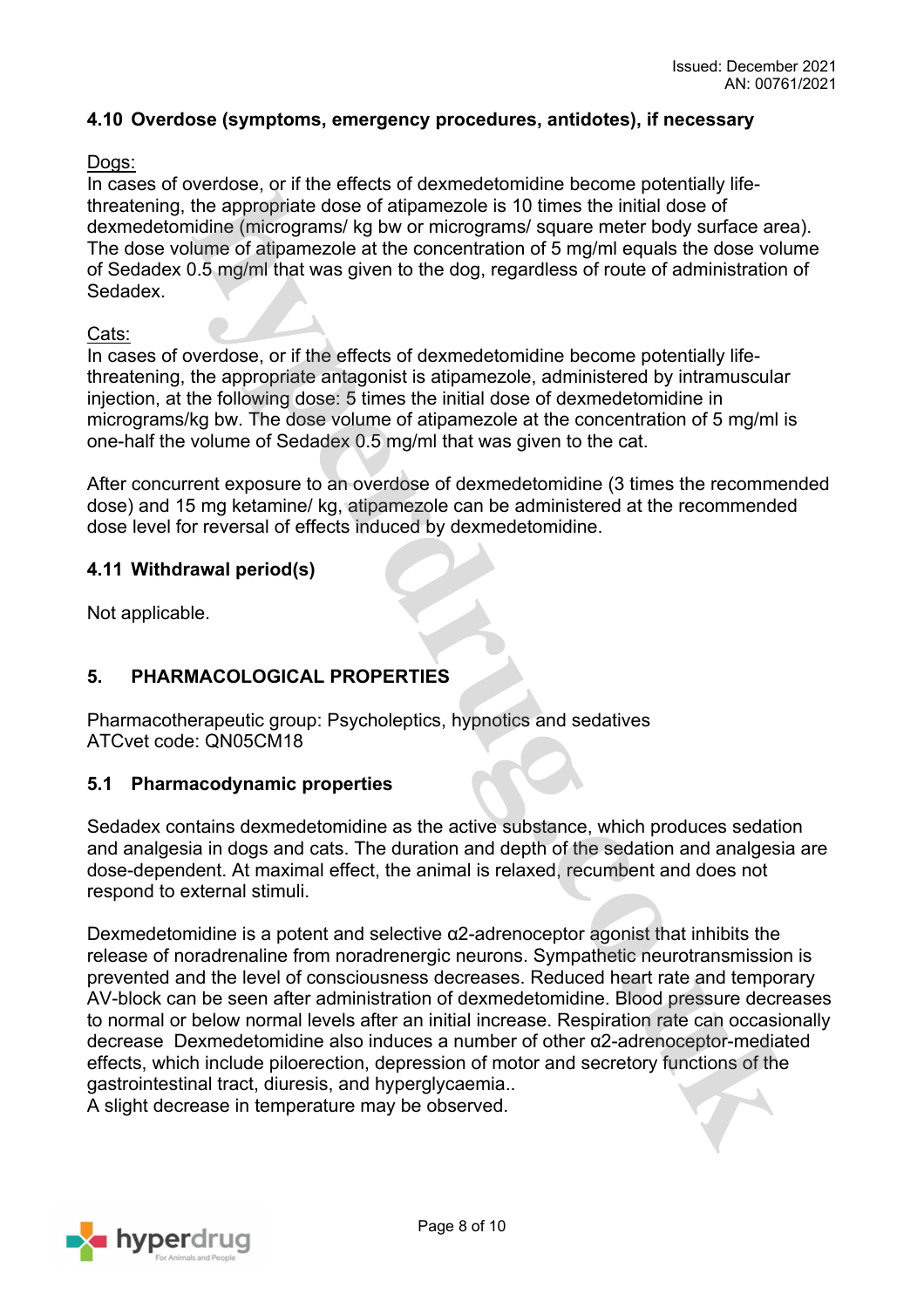## **4.10 Overdose (symptoms, emergency procedures, antidotes), if necessary**

#### Dogs:

In cases of overdose, or if the effects of dexmedetomidine become potentially lifethreatening, the appropriate dose of atipamezole is 10 times the initial dose of dexmedetomidine (micrograms/ kg bw or micrograms/ square meter body surface area). The dose volume of atipamezole at the concentration of 5 mg/ml equals the dose volume of Sedadex 0.5 mg/ml that was given to the dog, regardless of route of administration of Sedadex.

#### Cats:

In cases of overdose, or if the effects of dexmedetomidine become potentially lifethreatening, the appropriate antagonist is atipamezole, administered by intramuscular injection, at the following dose: 5 times the initial dose of dexmedetomidine in micrograms/kg bw. The dose volume of atipamezole at the concentration of 5 mg/ml is one-half the volume of Sedadex 0.5 mg/ml that was given to the cat.

After concurrent exposure to an overdose of dexmedetomidine (3 times the recommended dose) and 15 mg ketamine/ kg, atipamezole can be administered at the recommended dose level for reversal of effects induced by dexmedetomidine.

## **4.11 Withdrawal period(s)**

Not applicable.

## **5. PHARMACOLOGICAL PROPERTIES**

Pharmacotherapeutic group: Psycholeptics, hypnotics and sedatives ATCvet code: QN05CM18

## **5.1 Pharmacodynamic properties**

Sedadex contains dexmedetomidine as the active substance, which produces sedation and analgesia in dogs and cats. The duration and depth of the sedation and analgesia are dose-dependent. At maximal effect, the animal is relaxed, recumbent and does not respond to external stimuli.

Dexmedetomidine is a potent and selective  $\alpha$ 2-adrenoceptor agonist that inhibits the release of noradrenaline from noradrenergic neurons. Sympathetic neurotransmission is prevented and the level of consciousness decreases. Reduced heart rate and temporary AV-block can be seen after administration of dexmedetomidine. Blood pressure decreases to normal or below normal levels after an initial increase. Respiration rate can occasionally decrease Dexmedetomidine also induces a number of other α2-adrenoceptor-mediated effects, which include piloerection, depression of motor and secretory functions of the gastrointestinal tract, diuresis, and hyperglycaemia..

A slight decrease in temperature may be observed.

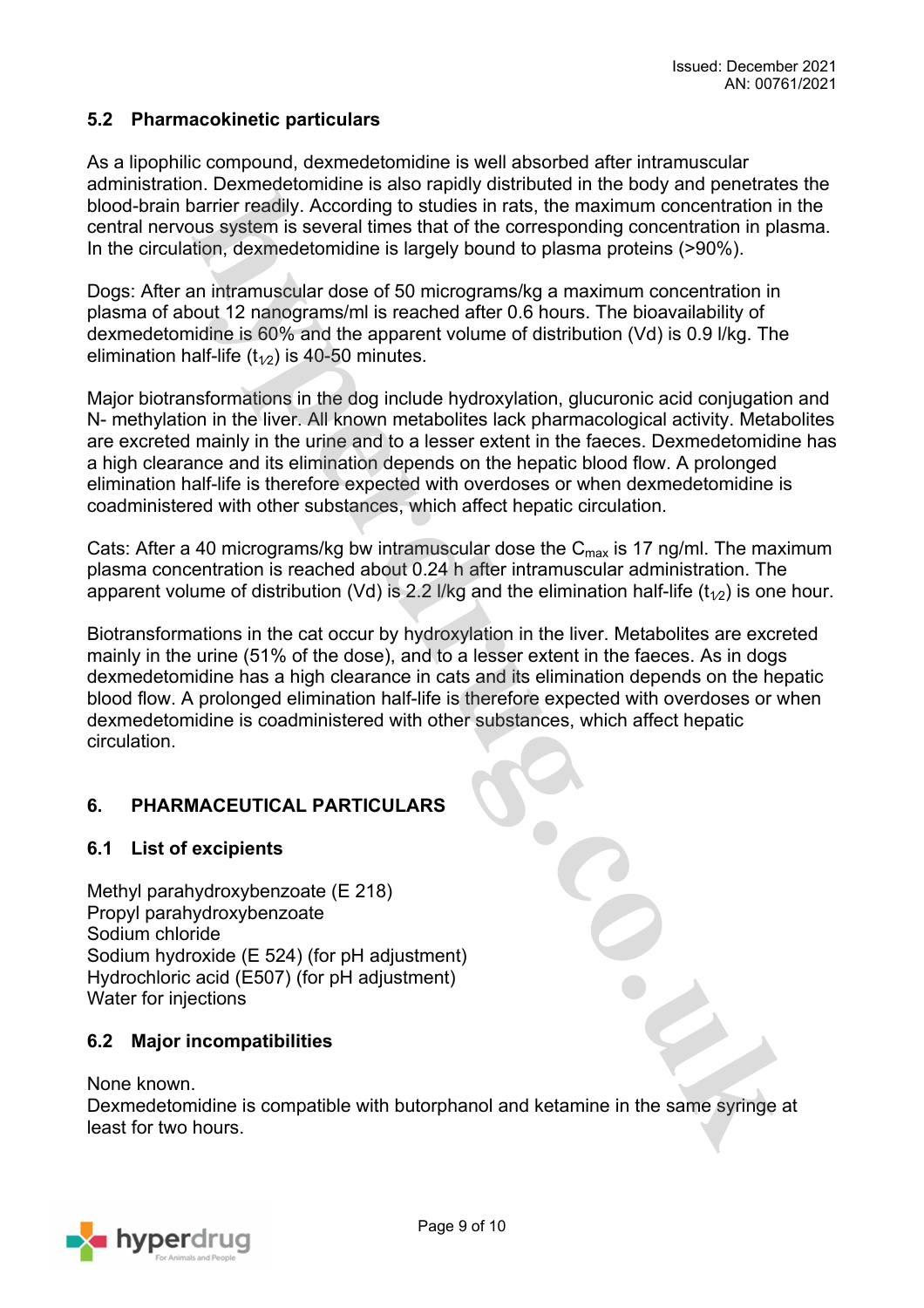# **5.2 Pharmacokinetic particulars**

As a lipophilic compound, dexmedetomidine is well absorbed after intramuscular administration. Dexmedetomidine is also rapidly distributed in the body and penetrates the blood-brain barrier readily. According to studies in rats, the maximum concentration in the central nervous system is several times that of the corresponding concentration in plasma. In the circulation, dexmedetomidine is largely bound to plasma proteins (>90%).

Dogs: After an intramuscular dose of 50 micrograms/kg a maximum concentration in plasma of about 12 nanograms/ml is reached after 0.6 hours. The bioavailability of dexmedetomidine is 60% and the apparent volume of distribution (Vd) is 0.9 l/kg. The elimination half-life  $(t_{1/2})$  is 40-50 minutes.

Major biotransformations in the dog include hydroxylation, glucuronic acid conjugation and N- methylation in the liver. All known metabolites lack pharmacological activity. Metabolites are excreted mainly in the urine and to a lesser extent in the faeces. Dexmedetomidine has a high clearance and its elimination depends on the hepatic blood flow. A prolonged elimination half-life is therefore expected with overdoses or when dexmedetomidine is coadministered with other substances, which affect hepatic circulation.

Cats: After a 40 micrograms/kg bw intramuscular dose the  $C_{\text{max}}$  is 17 ng/ml. The maximum plasma concentration is reached about 0.24 h after intramuscular administration. The apparent volume of distribution (Vd) is 2.2 l/kg and the elimination half-life ( $t_{1/2}$ ) is one hour.

Biotransformations in the cat occur by hydroxylation in the liver. Metabolites are excreted mainly in the urine (51% of the dose), and to a lesser extent in the faeces. As in dogs dexmedetomidine has a high clearance in cats and its elimination depends on the hepatic blood flow. A prolonged elimination half-life is therefore expected with overdoses or when dexmedetomidine is coadministered with other substances, which affect hepatic circulation.

# **6. PHARMACEUTICAL PARTICULARS**

## **6.1 List of excipients**

Methyl parahydroxybenzoate (E 218) Propyl parahydroxybenzoate Sodium chloride Sodium hydroxide (E 524) (for pH adjustment) Hydrochloric acid (E507) (for pH adjustment) Water for injections

# **6.2 Major incompatibilities**

None known.

Dexmedetomidine is compatible with butorphanol and ketamine in the same syringe at least for two hours.